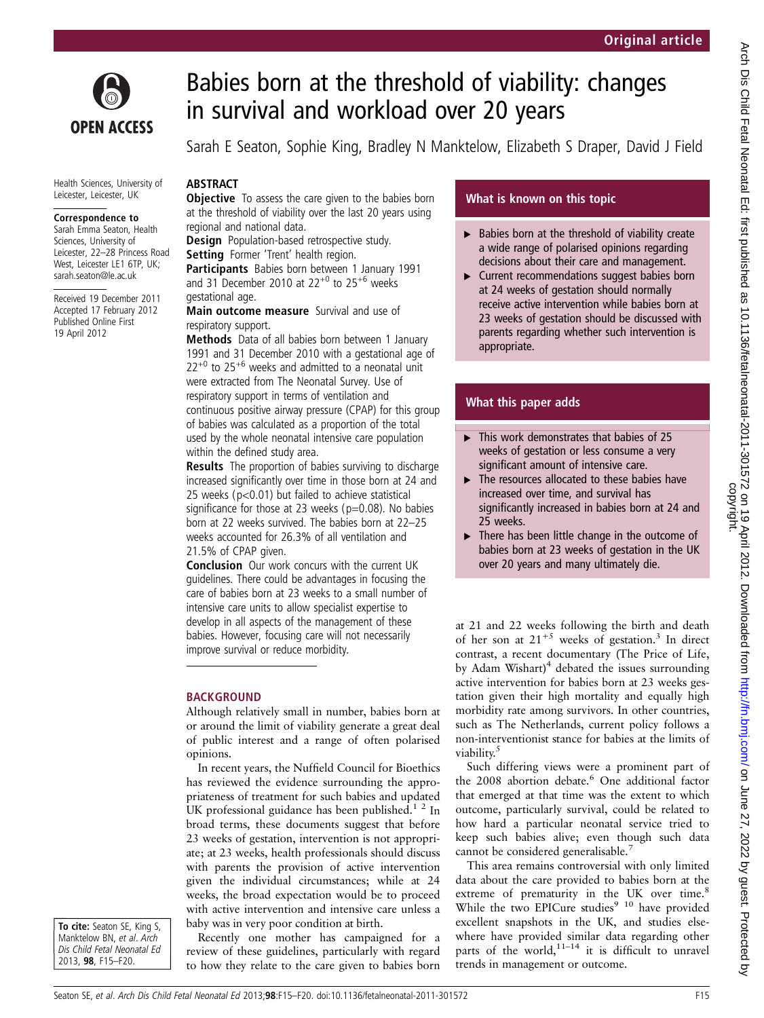

# Babies born at the threshold of viability: changes in survival and workload over 20 years

Sarah E Seaton, Sophie King, Bradley N Manktelow, Elizabeth S Draper, David J Field

#### Health Sciences, University of Leicester, Leicester, UK

#### Correspondence to

Sarah Emma Seaton, Health Sciences, University of Leicester, 22-28 Princess Road West, Leicester LE1 6TP, UK; sarah.seaton@le.ac.uk

Received 19 December 2011 Accepted 17 February 2012 Published Online First 19 April 2012

# **ABSTRACT Objective** To assess the care given to the babies born at the threshold of viability over the last 20 years using

regional and national data.

**Design** Population-based retrospective study. Setting Former 'Trent' health region.

Participants Babies born between 1 January 1991 and 31 December 2010 at  $22^{+0}$  to  $25^{+6}$  weeks gestational age.

Main outcome measure Survival and use of respiratory support.

Methods Data of all babies born between 1 January 1991 and 31 December 2010 with a gestational age of  $22^{+0}$  to  $25^{+6}$  weeks and admitted to a neonatal unit were extracted from The Neonatal Survey. Use of respiratory support in terms of ventilation and continuous positive airway pressure (CPAP) for this group of babies was calculated as a proportion of the total used by the whole neonatal intensive care population within the defined study area.

**Results** The proportion of babies surviving to discharge increased significantly over time in those born at 24 and 25 weeks (p<0.01) but failed to achieve statistical significance for those at 23 weeks ( $p=0.08$ ). No babies born at 22 weeks survived. The babies born at 22–25 weeks accounted for 26.3% of all ventilation and 21.5% of CPAP given.

Conclusion Our work concurs with the current UK guidelines. There could be advantages in focusing the care of babies born at 23 weeks to a small number of intensive care units to allow specialist expertise to develop in all aspects of the management of these babies. However, focusing care will not necessarily improve survival or reduce morbidity.

# BACKGROUND

Although relatively small in number, babies born at or around the limit of viability generate a great deal of public interest and a range of often polarised opinions.

In recent years, the Nuffield Council for Bioethics has reviewed the evidence surrounding the appropriateness of treatment for such babies and updated UK professional guidance has been published. $1^2$  In broad terms, these documents suggest that before 23 weeks of gestation, intervention is not appropriate; at 23 weeks, health professionals should discuss with parents the provision of active intervention given the individual circumstances; while at 24 weeks, the broad expectation would be to proceed with active intervention and intensive care unless a baby was in very poor condition at birth.

To cite: Seaton SE, King S, Manktelow BN, et al. Arch Dis Child Fetal Neonatal Ed 2013, 98, F15–F20.

Recently one mother has campaigned for a review of these guidelines, particularly with regard to how they relate to the care given to babies born

# What is known on this topic

- $\blacktriangleright$  Babies born at the threshold of viability create a wide range of polarised opinions regarding decisions about their care and management.
- ▶ Current recommendations suggest babies born at 24 weeks of gestation should normally receive active intervention while babies born at 23 weeks of gestation should be discussed with parents regarding whether such intervention is appropriate.

# What this paper adds

- $\blacktriangleright$  This work demonstrates that babies of 25 weeks of gestation or less consume a very significant amount of intensive care.
- $\blacktriangleright$  The resources allocated to these babies have increased over time, and survival has significantly increased in babies born at 24 and 25 weeks.
- $\blacktriangleright$  There has been little change in the outcome of babies born at 23 weeks of gestation in the UK over 20 years and many ultimately die.

at 21 and 22 weeks following the birth and death of her son at  $21^{+5}$  weeks of gestation.<sup>3</sup> In direct contrast, a recent documentary (The Price of Life, by Adam Wishart)<sup>4</sup> debated the issues surrounding active intervention for babies born at 23 weeks gestation given their high mortality and equally high morbidity rate among survivors. In other countries, such as The Netherlands, current policy follows a non-interventionist stance for babies at the limits of viability.<sup>5</sup>

Such differing views were a prominent part of the 2008 abortion debate.<sup>6</sup> One additional factor that emerged at that time was the extent to which outcome, particularly survival, could be related to how hard a particular neonatal service tried to keep such babies alive; even though such data cannot be considered generalisable.<sup>7</sup>

This area remains controversial with only limited data about the care provided to babies born at the extreme of prematurity in the UK over time.<sup>8</sup> While the two EPICure studies<sup>9 10</sup> have provided excellent snapshots in the UK, and studies elsewhere have provided similar data regarding other parts of the world, $1^{1-14}$  it is difficult to unravel trends in management or outcome.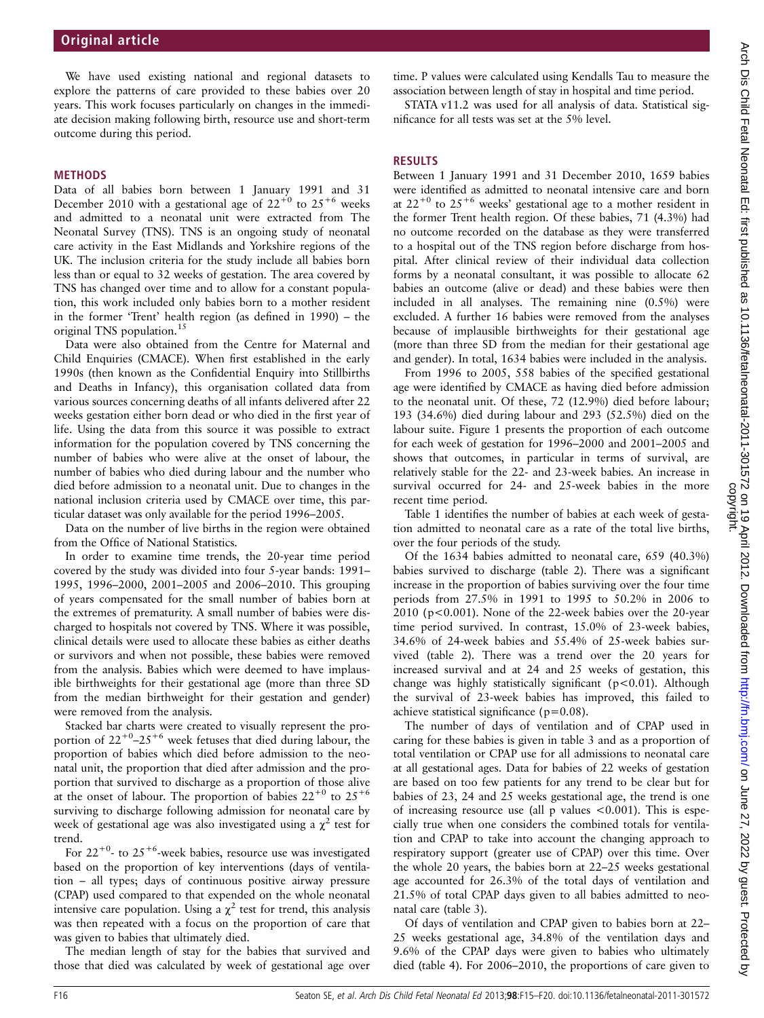We have used existing national and regional datasets to explore the patterns of care provided to these babies over 20 years. This work focuses particularly on changes in the immediate decision making following birth, resource use and short-term outcome during this period.

#### METHODS

Data of all babies born between 1 January 1991 and 31 December 2010 with a gestational age of  $22^{+0}$  to  $25^{+6}$  weeks and admitted to a neonatal unit were extracted from The Neonatal Survey (TNS). TNS is an ongoing study of neonatal care activity in the East Midlands and Yorkshire regions of the UK. The inclusion criteria for the study include all babies born less than or equal to 32 weeks of gestation. The area covered by TNS has changed over time and to allow for a constant population, this work included only babies born to a mother resident in the former 'Trent' health region (as defined in 1990) – the original TNS population.<sup>15</sup>

Data were also obtained from the Centre for Maternal and Child Enquiries (CMACE). When first established in the early 1990s (then known as the Confidential Enquiry into Stillbirths and Deaths in Infancy), this organisation collated data from various sources concerning deaths of all infants delivered after 22 weeks gestation either born dead or who died in the first year of life. Using the data from this source it was possible to extract information for the population covered by TNS concerning the number of babies who were alive at the onset of labour, the number of babies who died during labour and the number who died before admission to a neonatal unit. Due to changes in the national inclusion criteria used by CMACE over time, this particular dataset was only available for the period 1996–2005.

Data on the number of live births in the region were obtained from the Office of National Statistics.

In order to examine time trends, the 20-year time period covered by the study was divided into four 5-year bands: 1991– 1995, 1996–2000, 2001–2005 and 2006–2010. This grouping of years compensated for the small number of babies born at the extremes of prematurity. A small number of babies were discharged to hospitals not covered by TNS. Where it was possible, clinical details were used to allocate these babies as either deaths or survivors and when not possible, these babies were removed from the analysis. Babies which were deemed to have implausible birthweights for their gestational age (more than three SD from the median birthweight for their gestation and gender) were removed from the analysis.

Stacked bar charts were created to visually represent the proportion of  $22^{+0}$ – $25^{+6}$  week fetuses that died during labour, the proportion of babies which died before admission to the neonatal unit, the proportion that died after admission and the proportion that survived to discharge as a proportion of those alive at the onset of labour. The proportion of babies  $22^{+0}$  to  $25^{+6}$ surviving to discharge following admission for neonatal care by week of gestational age was also investigated using a  $\chi^2$  test for trend.

For  $22^{+0}$ - to  $25^{+6}$ -week babies, resource use was investigated based on the proportion of key interventions (days of ventilation – all types; days of continuous positive airway pressure (CPAP) used compared to that expended on the whole neonatal intensive care population. Using a  $\chi^2$  test for trend, this analysis was then repeated with a focus on the proportion of care that was given to babies that ultimately died.

The median length of stay for the babies that survived and those that died was calculated by week of gestational age over

time. P values were calculated using Kendalls Tau to measure the association between length of stay in hospital and time period.

STATA v11.2 was used for all analysis of data. Statistical significance for all tests was set at the 5% level.

# **RESULTS**

Between 1 January 1991 and 31 December 2010, 1659 babies were identified as admitted to neonatal intensive care and born at  $22^{+0}$  to  $25^{+6}$  weeks' gestational age to a mother resident in the former Trent health region. Of these babies, 71 (4.3%) had no outcome recorded on the database as they were transferred to a hospital out of the TNS region before discharge from hospital. After clinical review of their individual data collection forms by a neonatal consultant, it was possible to allocate 62 babies an outcome (alive or dead) and these babies were then included in all analyses. The remaining nine (0.5%) were excluded. A further 16 babies were removed from the analyses because of implausible birthweights for their gestational age (more than three SD from the median for their gestational age and gender). In total, 1634 babies were included in the analysis.

From 1996 to 2005, 558 babies of the specified gestational age were identified by CMACE as having died before admission to the neonatal unit. Of these, 72 (12.9%) died before labour; 193 (34.6%) died during labour and 293 (52.5%) died on the labour suite. Figure 1 presents the proportion of each outcome for each week of gestation for 1996–2000 and 2001–2005 and shows that outcomes, in particular in terms of survival, are relatively stable for the 22- and 23-week babies. An increase in survival occurred for 24- and 25-week babies in the more recent time period.

Table 1 identifies the number of babies at each week of gestation admitted to neonatal care as a rate of the total live births, over the four periods of the study.

Of the 1634 babies admitted to neonatal care, 659 (40.3%) babies survived to discharge (table 2). There was a significant increase in the proportion of babies surviving over the four time periods from 27.5% in 1991 to 1995 to 50.2% in 2006 to 2010 (p<0.001). None of the 22-week babies over the 20-year time period survived. In contrast, 15.0% of 23-week babies, 34.6% of 24-week babies and 55.4% of 25-week babies survived (table 2). There was a trend over the 20 years for increased survival and at 24 and 25 weeks of gestation, this change was highly statistically significant (p<0.01). Although the survival of 23-week babies has improved, this failed to achieve statistical significance ( $p=0.08$ ).

The number of days of ventilation and of CPAP used in caring for these babies is given in table 3 and as a proportion of total ventilation or CPAP use for all admissions to neonatal care at all gestational ages. Data for babies of 22 weeks of gestation are based on too few patients for any trend to be clear but for babies of 23, 24 and 25 weeks gestational age, the trend is one of increasing resource use (all  $p$  values  $\lt 0.001$ ). This is especially true when one considers the combined totals for ventilation and CPAP to take into account the changing approach to respiratory support (greater use of CPAP) over this time. Over the whole 20 years, the babies born at 22–25 weeks gestational age accounted for 26.3% of the total days of ventilation and 21.5% of total CPAP days given to all babies admitted to neonatal care (table 3).

Of days of ventilation and CPAP given to babies born at 22– 25 weeks gestational age, 34.8% of the ventilation days and 9.6% of the CPAP days were given to babies who ultimately died (table 4). For 2006–2010, the proportions of care given to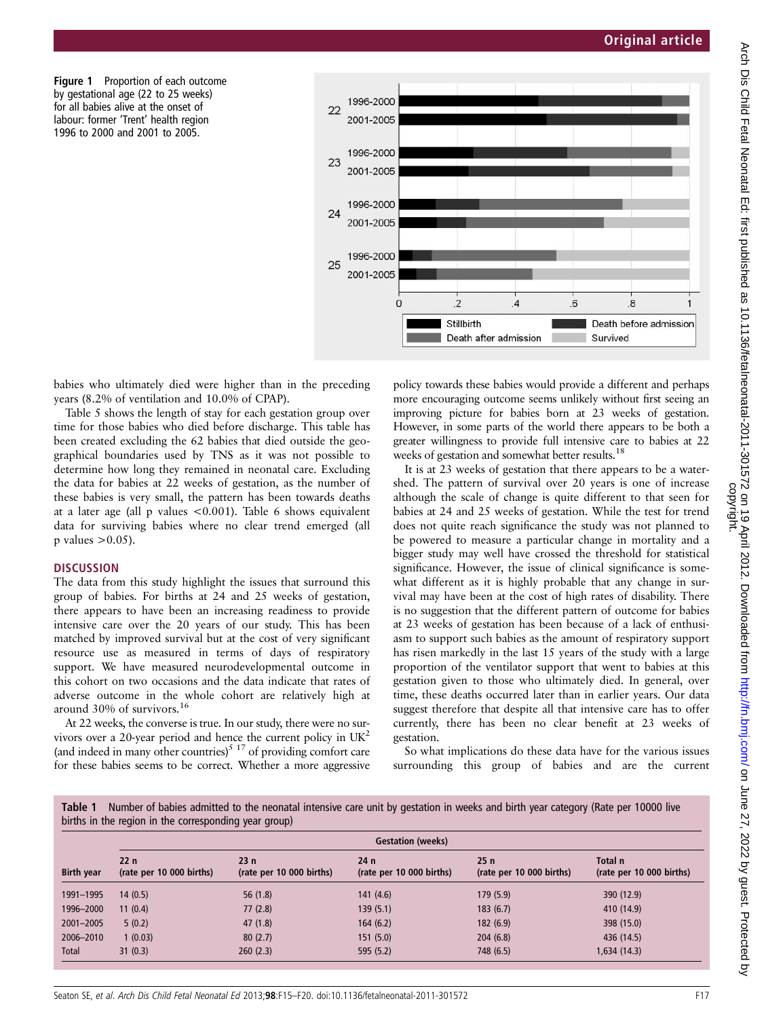Figure 1 Proportion of each outcome by gestational age (22 to 25 weeks) for all babies alive at the onset of labour: former 'Trent' health region 1996 to 2000 and 2001 to 2005.



babies who ultimately died were higher than in the preceding years (8.2% of ventilation and 10.0% of CPAP).

Table 5 shows the length of stay for each gestation group over time for those babies who died before discharge. This table has been created excluding the 62 babies that died outside the geographical boundaries used by TNS as it was not possible to determine how long they remained in neonatal care. Excluding the data for babies at 22 weeks of gestation, as the number of these babies is very small, the pattern has been towards deaths at a later age (all p values <0.001). Table 6 shows equivalent data for surviving babies where no clear trend emerged (all  $p$  values  $> 0.05$ ).

#### **DISCUSSION**

The data from this study highlight the issues that surround this group of babies. For births at 24 and 25 weeks of gestation, there appears to have been an increasing readiness to provide intensive care over the 20 years of our study. This has been matched by improved survival but at the cost of very significant resource use as measured in terms of days of respiratory support. We have measured neurodevelopmental outcome in this cohort on two occasions and the data indicate that rates of adverse outcome in the whole cohort are relatively high at around 30% of survivors.<sup>16</sup>

At 22 weeks, the converse is true. In our study, there were no survivors over a 20-year period and hence the current policy in UK2 (and indeed in many other countries)<sup>5 17</sup> of providing comfort care for these babies seems to be correct. Whether a more aggressive

policy towards these babies would provide a different and perhaps more encouraging outcome seems unlikely without first seeing an improving picture for babies born at 23 weeks of gestation. However, in some parts of the world there appears to be both a greater willingness to provide full intensive care to babies at 22 weeks of gestation and somewhat better results.<sup>18</sup>

It is at 23 weeks of gestation that there appears to be a watershed. The pattern of survival over 20 years is one of increase although the scale of change is quite different to that seen for babies at 24 and 25 weeks of gestation. While the test for trend does not quite reach significance the study was not planned to be powered to measure a particular change in mortality and a bigger study may well have crossed the threshold for statistical significance. However, the issue of clinical significance is somewhat different as it is highly probable that any change in survival may have been at the cost of high rates of disability. There is no suggestion that the different pattern of outcome for babies at 23 weeks of gestation has been because of a lack of enthusiasm to support such babies as the amount of respiratory support has risen markedly in the last 15 years of the study with a large proportion of the ventilator support that went to babies at this gestation given to those who ultimately died. In general, over time, these deaths occurred later than in earlier years. Our data suggest therefore that despite all that intensive care has to offer currently, there has been no clear benefit at 23 weeks of gestation.

So what implications do these data have for the various issues surrounding this group of babies and are the current

| Table 1 Number of babies admitted to the neonatal intensive care unit by gestation in weeks and birth year category (Rate per 10000 live |  |  |  |  |
|------------------------------------------------------------------------------------------------------------------------------------------|--|--|--|--|
| births in the region in the corresponding year group)                                                                                    |  |  |  |  |

|                   | <b>Gestation (weeks)</b>        |                                 |                                 |                                 |                                     |  |  |  |
|-------------------|---------------------------------|---------------------------------|---------------------------------|---------------------------------|-------------------------------------|--|--|--|
| <b>Birth year</b> | 22n<br>(rate per 10 000 births) | 23n<br>(rate per 10 000 births) | 24n<br>(rate per 10 000 births) | 25n<br>(rate per 10 000 births) | Total n<br>(rate per 10 000 births) |  |  |  |
| 1991-1995         | 14(0.5)                         | 56(1.8)                         | 141(4.6)                        | 179 (5.9)                       | 390 (12.9)                          |  |  |  |
| 1996-2000         | 11(0.4)                         | 77(2.8)                         | 139(5.1)                        | 183(6.7)                        | 410 (14.9)                          |  |  |  |
| 2001-2005         | 5(0.2)                          | 47(1.8)                         | 164(6.2)                        | 182(6.9)                        | 398 (15.0)                          |  |  |  |
| 2006-2010         | 1(0.03)                         | 80(2.7)                         | 151(5.0)                        | 204(6.8)                        | 436 (14.5)                          |  |  |  |
| Total             | 31(0.3)                         | 260(2.3)                        | 595(5.2)                        | 748 (6.5)                       | 1,634(14.3)                         |  |  |  |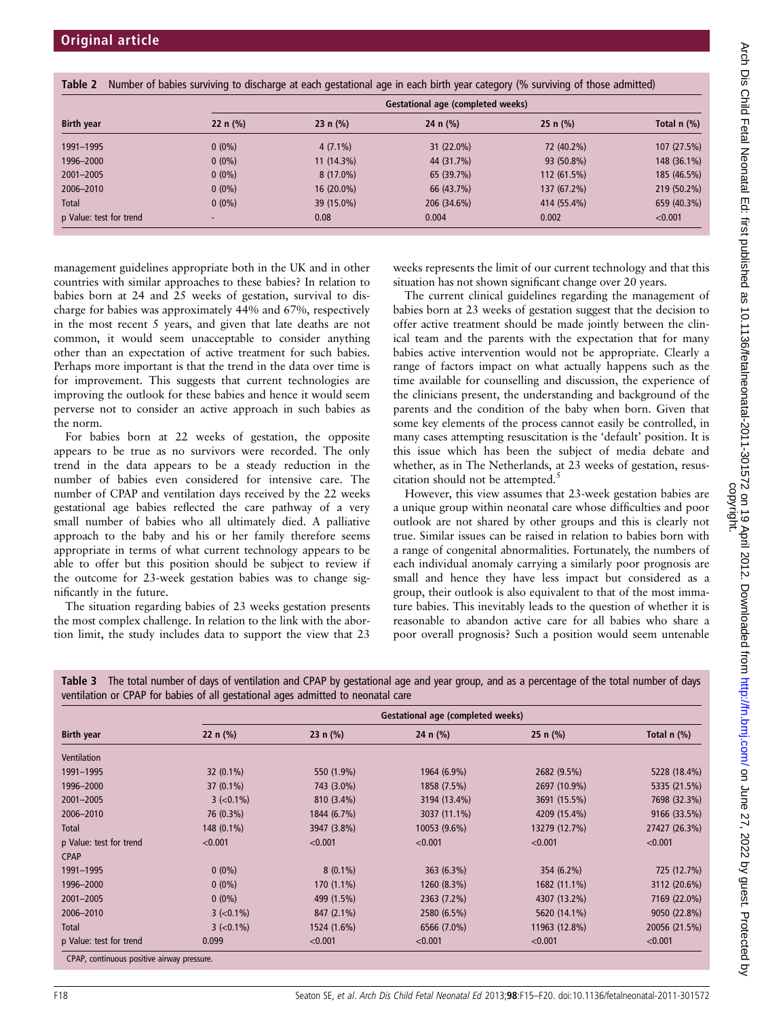|                         | Gestational age (completed weeks) |              |              |             |               |  |  |  |
|-------------------------|-----------------------------------|--------------|--------------|-------------|---------------|--|--|--|
| <b>Birth year</b>       | 22 n $(\% )$                      | 23 n $(\% )$ | 24 n $(\% )$ | $25 n$ (%)  | Total $n$ (%) |  |  |  |
| 1991-1995               | $0(0\%)$                          | $4(7.1\%)$   | $31(22.0\%)$ | 72 (40.2%)  | 107 (27.5%)   |  |  |  |
| 1996-2000               | $0(0\%)$                          | $11(14.3\%)$ | 44 (31.7%)   | 93 (50.8%)  | 148 (36.1%)   |  |  |  |
| 2001-2005               | $0(0\%)$                          | $8(17.0\%)$  | 65 (39.7%)   | 112 (61.5%) | 185 (46.5%)   |  |  |  |
| 2006-2010               | $0(0\%)$                          | 16 (20.0%)   | 66 (43.7%)   | 137 (67.2%) | 219 (50.2%)   |  |  |  |
| Total                   | $0(0\%)$                          | 39 (15.0%)   | 206 (34.6%)  | 414 (55.4%) | 659 (40.3%)   |  |  |  |
| p Value: test for trend |                                   | 0.08         | 0.004        | 0.002       | < 0.001       |  |  |  |

management guidelines appropriate both in the UK and in other countries with similar approaches to these babies? In relation to babies born at 24 and 25 weeks of gestation, survival to discharge for babies was approximately 44% and 67%, respectively in the most recent 5 years, and given that late deaths are not common, it would seem unacceptable to consider anything other than an expectation of active treatment for such babies. Perhaps more important is that the trend in the data over time is for improvement. This suggests that current technologies are improving the outlook for these babies and hence it would seem perverse not to consider an active approach in such babies as the norm.

For babies born at 22 weeks of gestation, the opposite appears to be true as no survivors were recorded. The only trend in the data appears to be a steady reduction in the number of babies even considered for intensive care. The number of CPAP and ventilation days received by the 22 weeks gestational age babies reflected the care pathway of a very small number of babies who all ultimately died. A palliative approach to the baby and his or her family therefore seems appropriate in terms of what current technology appears to be able to offer but this position should be subject to review if the outcome for 23-week gestation babies was to change significantly in the future.

The situation regarding babies of 23 weeks gestation presents the most complex challenge. In relation to the link with the abortion limit, the study includes data to support the view that 23 weeks represents the limit of our current technology and that this situation has not shown significant change over 20 years.

The current clinical guidelines regarding the management of babies born at 23 weeks of gestation suggest that the decision to offer active treatment should be made jointly between the clinical team and the parents with the expectation that for many babies active intervention would not be appropriate. Clearly a range of factors impact on what actually happens such as the time available for counselling and discussion, the experience of the clinicians present, the understanding and background of the parents and the condition of the baby when born. Given that some key elements of the process cannot easily be controlled, in many cases attempting resuscitation is the 'default' position. It is this issue which has been the subject of media debate and whether, as in The Netherlands, at 23 weeks of gestation, resuscitation should not be attempted. $5$ 

However, this view assumes that 23-week gestation babies are a unique group within neonatal care whose difficulties and poor outlook are not shared by other groups and this is clearly not true. Similar issues can be raised in relation to babies born with a range of congenital abnormalities. Fortunately, the numbers of each individual anomaly carrying a similarly poor prognosis are small and hence they have less impact but considered as a group, their outlook is also equivalent to that of the most immature babies. This inevitably leads to the question of whether it is reasonable to abandon active care for all babies who share a poor overall prognosis? Such a position would seem untenable

| Table 3 The total number of days of ventilation and CPAP by gestational age and year group, and as a percentage of the total number of days |  |
|---------------------------------------------------------------------------------------------------------------------------------------------|--|
| ventilation or CPAP for babies of all gestational ages admitted to neonatal care                                                            |  |

|                                            | Gestational age (completed weeks) |              |              |               |               |  |  |  |
|--------------------------------------------|-----------------------------------|--------------|--------------|---------------|---------------|--|--|--|
| <b>Birth year</b>                          | 22 $n$ (%)                        | 23 n $(\% )$ | 24 n $(\% )$ | 25 n $(\% )$  | Total $n$ $%$ |  |  |  |
| <b>Ventilation</b>                         |                                   |              |              |               |               |  |  |  |
| 1991-1995                                  | $32(0.1\%)$                       | 550 (1.9%)   | 1964 (6.9%)  | 2682 (9.5%)   | 5228 (18.4%)  |  |  |  |
| 1996-2000                                  | $37(0.1\%)$                       | 743 (3.0%)   | 1858 (7.5%)  | 2697 (10.9%)  | 5335 (21.5%)  |  |  |  |
| 2001-2005                                  | $3 (-0.1\%)$                      | 810 (3.4%)   | 3194 (13.4%) | 3691 (15.5%)  | 7698 (32.3%)  |  |  |  |
| 2006-2010                                  | 76 (0.3%)                         | 1844 (6.7%)  | 3037 (11.1%) | 4209 (15.4%)  | 9166 (33.5%)  |  |  |  |
| Total                                      | $148(0.1\%)$                      | 3947 (3.8%)  | 10053 (9.6%) | 13279 (12.7%) | 27427 (26.3%) |  |  |  |
| p Value: test for trend                    | < 0.001                           | < 0.001      | < 0.001      | < 0.001       | < 0.001       |  |  |  |
| <b>CPAP</b>                                |                                   |              |              |               |               |  |  |  |
| 1991-1995                                  | $0(0\%)$                          | $8(0.1\%)$   | 363 (6.3%)   | 354 (6.2%)    | 725 (12.7%)   |  |  |  |
| 1996-2000                                  | $0(0\%)$                          | $170(1.1\%)$ | 1260 (8.3%)  | 1682 (11.1%)  | 3112 (20.6%)  |  |  |  |
| 2001-2005                                  | $0(0\%)$                          | 499 (1.5%)   | 2363 (7.2%)  | 4307 (13.2%)  | 7169 (22.0%)  |  |  |  |
| 2006-2010                                  | $3 (-0.1\%)$                      | 847 (2.1%)   | 2580 (6.5%)  | 5620 (14.1%)  | 9050 (22.8%)  |  |  |  |
| Total                                      | $3 (-0.1\%)$                      | 1524 (1.6%)  | 6566 (7.0%)  | 11963 (12.8%) | 20056 (21.5%) |  |  |  |
| p Value: test for trend                    | 0.099                             | < 0.001      | < 0.001      | < 0.001       | < 0.001       |  |  |  |
| CPAP, continuous positive airway pressure. |                                   |              |              |               |               |  |  |  |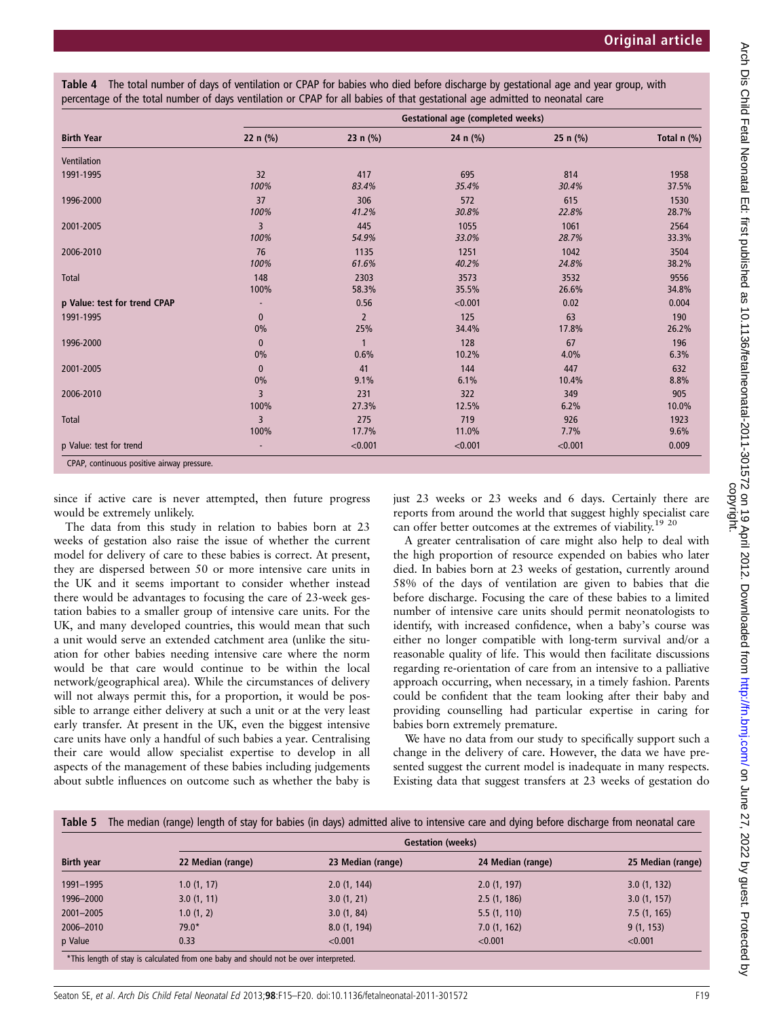Table 4 The total number of days of ventilation or CPAP for babies who died before discharge by gestational age and year group, with percentage of the total number of days ventilation or CPAP for all babies of that gestational age admitted to neonatal care

|                              | <b>Gestational age (completed weeks)</b> |                |          |              |               |  |  |  |
|------------------------------|------------------------------------------|----------------|----------|--------------|---------------|--|--|--|
| <b>Birth Year</b>            | 22 $n$ (%)                               | 23 n $(\% )$   | 24 n (%) | 25 n $(\% )$ | Total $n$ (%) |  |  |  |
| Ventilation                  |                                          |                |          |              |               |  |  |  |
| 1991-1995                    | 32                                       | 417            | 695      | 814          | 1958          |  |  |  |
|                              | 100%                                     | 83.4%          | 35.4%    | 30.4%        | 37.5%         |  |  |  |
| 1996-2000                    | 37                                       | 306            | 572      | 615          | 1530          |  |  |  |
|                              | 100%                                     | 41.2%          | 30.8%    | 22.8%        | 28.7%         |  |  |  |
| 2001-2005                    | 3                                        | 445            | 1055     | 1061         | 2564          |  |  |  |
|                              | 100%                                     | 54.9%          | 33.0%    | 28.7%        | 33.3%         |  |  |  |
| 2006-2010                    | 76                                       | 1135           | 1251     | 1042         | 3504          |  |  |  |
|                              | 100%                                     | 61.6%          | 40.2%    | 24.8%        | 38.2%         |  |  |  |
| <b>Total</b>                 | 148                                      | 2303           | 3573     | 3532         | 9556          |  |  |  |
|                              | 100%                                     | 58.3%          | 35.5%    | 26.6%        | 34.8%         |  |  |  |
| p Value: test for trend CPAP |                                          | 0.56           | < 0.001  | 0.02         | 0.004         |  |  |  |
| 1991-1995                    | $\bf{0}$                                 | $\overline{2}$ | 125      | 63           | 190           |  |  |  |
|                              | $0\%$                                    | 25%            | 34.4%    | 17.8%        | 26.2%         |  |  |  |
| 1996-2000                    | $\mathbf{0}$                             | $\mathbf{1}$   | 128      | 67           | 196           |  |  |  |
|                              | 0%                                       | 0.6%           | 10.2%    | 4.0%         | 6.3%          |  |  |  |
| 2001-2005                    | $\mathbf{0}$                             | 41             | 144      | 447          | 632           |  |  |  |
|                              | $0\%$                                    | 9.1%           | 6.1%     | 10.4%        | 8.8%          |  |  |  |
| 2006-2010                    | 3                                        | 231            | 322      | 349          | 905           |  |  |  |
|                              | 100%                                     | 27.3%          | 12.5%    | 6.2%         | 10.0%         |  |  |  |
| <b>Total</b>                 | 3                                        | 275            | 719      | 926          | 1923          |  |  |  |
|                              | 100%                                     | 17.7%          | 11.0%    | 7.7%         | 9.6%          |  |  |  |
| p Value: test for trend      | ٠                                        | < 0.001        | < 0.001  | < 0.001      | 0.009         |  |  |  |

since if active care is never attempted, then future progress would be extremely unlikely.

The data from this study in relation to babies born at 23 weeks of gestation also raise the issue of whether the current model for delivery of care to these babies is correct. At present, they are dispersed between 50 or more intensive care units in the UK and it seems important to consider whether instead there would be advantages to focusing the care of 23-week gestation babies to a smaller group of intensive care units. For the UK, and many developed countries, this would mean that such a unit would serve an extended catchment area (unlike the situation for other babies needing intensive care where the norm would be that care would continue to be within the local network/geographical area). While the circumstances of delivery will not always permit this, for a proportion, it would be possible to arrange either delivery at such a unit or at the very least early transfer. At present in the UK, even the biggest intensive care units have only a handful of such babies a year. Centralising their care would allow specialist expertise to develop in all aspects of the management of these babies including judgements about subtle influences on outcome such as whether the baby is

just 23 weeks or 23 weeks and 6 days. Certainly there are reports from around the world that suggest highly specialist care can offer better outcomes at the extremes of viability.<sup>19 20</sup>

A greater centralisation of care might also help to deal with the high proportion of resource expended on babies who later died. In babies born at 23 weeks of gestation, currently around 58% of the days of ventilation are given to babies that die before discharge. Focusing the care of these babies to a limited number of intensive care units should permit neonatologists to identify, with increased confidence, when a baby's course was either no longer compatible with long-term survival and/or a reasonable quality of life. This would then facilitate discussions regarding re-orientation of care from an intensive to a palliative approach occurring, when necessary, in a timely fashion. Parents could be confident that the team looking after their baby and providing counselling had particular expertise in caring for babies born extremely premature.

We have no data from our study to specifically support such a change in the delivery of care. However, the data we have presented suggest the current model is inadequate in many respects. Existing data that suggest transfers at 23 weeks of gestation do

|                   | <b>Gestation (weeks)</b> |                   |                   |                   |  |  |  |
|-------------------|--------------------------|-------------------|-------------------|-------------------|--|--|--|
| <b>Birth year</b> | 22 Median (range)        | 23 Median (range) | 24 Median (range) | 25 Median (range) |  |  |  |
| 1991-1995         | 1.0(1, 17)               | 2.0(1, 144)       | 2.0(1, 197)       | 3.0(1, 132)       |  |  |  |
| 1996-2000         | 3.0(1, 11)               | 3.0(1, 21)        | 2.5(1, 186)       | 3.0(1, 157)       |  |  |  |
| 2001-2005         | 1.0(1, 2)                | 3.0(1, 84)        | 5.5(1, 110)       | 7.5(1, 165)       |  |  |  |
| 2006-2010         | $79.0*$                  | 8.0(1, 194)       | 7.0(1, 162)       | 9(1, 153)         |  |  |  |
| p Value           | 0.33                     | < 0.001           | < 0.001           | < 0.001           |  |  |  |

\*This length of stay is calculated from one baby and should not be over interpreted.